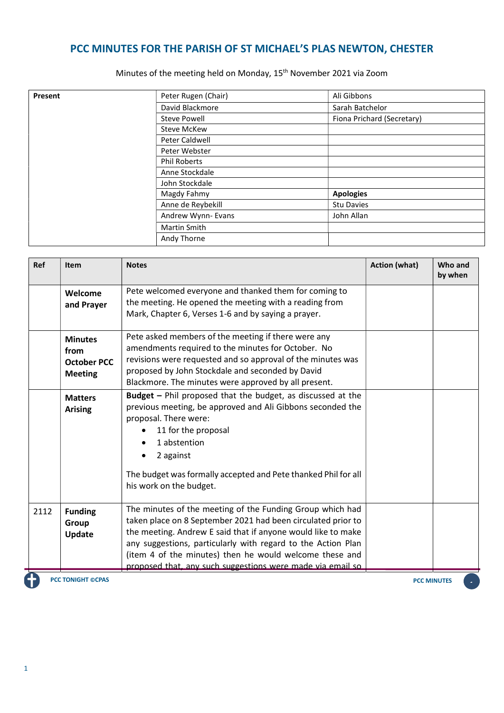## PCC MINUTES FOR THE PARISH OF ST MICHAEL'S PLAS NEWTON, CHESTER

Minutes of the meeting held on Monday, 15th November 2021 via Zoom

| Present | Peter Rugen (Chair) | Ali Gibbons                |
|---------|---------------------|----------------------------|
|         | David Blackmore     | Sarah Batchelor            |
|         | <b>Steve Powell</b> | Fiona Prichard (Secretary) |
|         | <b>Steve McKew</b>  |                            |
|         | Peter Caldwell      |                            |
|         | Peter Webster       |                            |
|         | <b>Phil Roberts</b> |                            |
|         | Anne Stockdale      |                            |
|         | John Stockdale      |                            |
|         | Magdy Fahmy         | <b>Apologies</b>           |
|         | Anne de Reybekill   | <b>Stu Davies</b>          |
|         | Andrew Wynn- Evans  | John Allan                 |
|         | <b>Martin Smith</b> |                            |
|         | Andy Thorne         |                            |

| Ref  | <b>Item</b>        | <b>Notes</b>                                                                                                    | <b>Action (what)</b> | Who and<br>by when |
|------|--------------------|-----------------------------------------------------------------------------------------------------------------|----------------------|--------------------|
|      | Welcome            | Pete welcomed everyone and thanked them for coming to<br>the meeting. He opened the meeting with a reading from |                      |                    |
|      | and Prayer         | Mark, Chapter 6, Verses 1-6 and by saying a prayer.                                                             |                      |                    |
|      | <b>Minutes</b>     | Pete asked members of the meeting if there were any                                                             |                      |                    |
|      | from               | amendments required to the minutes for October. No                                                              |                      |                    |
|      | <b>October PCC</b> | revisions were requested and so approval of the minutes was                                                     |                      |                    |
|      | <b>Meeting</b>     | proposed by John Stockdale and seconded by David                                                                |                      |                    |
|      |                    | Blackmore. The minutes were approved by all present.                                                            |                      |                    |
|      | <b>Matters</b>     | Budget - Phil proposed that the budget, as discussed at the                                                     |                      |                    |
|      | <b>Arising</b>     | previous meeting, be approved and Ali Gibbons seconded the                                                      |                      |                    |
|      |                    | proposal. There were:                                                                                           |                      |                    |
|      |                    | 11 for the proposal                                                                                             |                      |                    |
|      |                    | 1 abstention                                                                                                    |                      |                    |
|      |                    | 2 against                                                                                                       |                      |                    |
|      |                    | The budget was formally accepted and Pete thanked Phil for all<br>his work on the budget.                       |                      |                    |
| 2112 | <b>Funding</b>     | The minutes of the meeting of the Funding Group which had                                                       |                      |                    |
|      | Group              | taken place on 8 September 2021 had been circulated prior to                                                    |                      |                    |
|      | Update             | the meeting. Andrew E said that if anyone would like to make                                                    |                      |                    |
|      |                    | any suggestions, particularly with regard to the Action Plan                                                    |                      |                    |
|      |                    | (item 4 of the minutes) then he would welcome these and                                                         |                      |                    |
|      |                    | proposed that, any such suggestions were made via email so                                                      |                      |                    |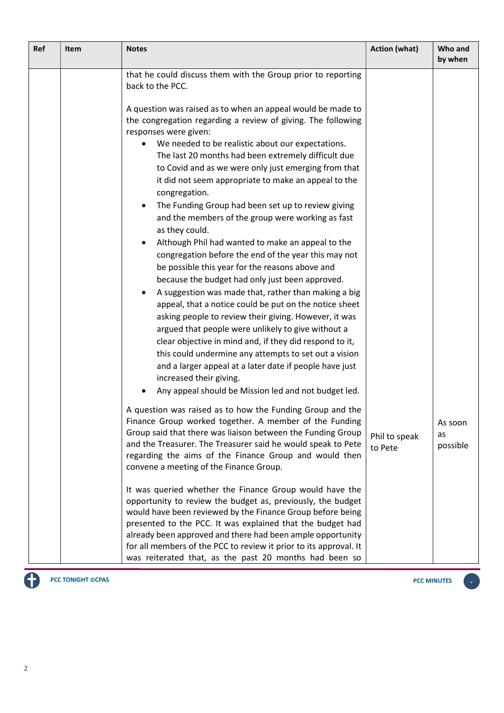| Ref | <b>Item</b> | <b>Notes</b>                                                                                                                                                                                                                                                                                                                                                                                                                                                                                                                                                                                                                                                                                                                                                                                                                                                                                                                                                                                                                                                                                                                                                                                                                                                                                                                                                                                                                                                                                                                                                                                                                                                                                                                                                                                                                                                                                             | <b>Action (what)</b>     | Who and<br>by when        |
|-----|-------------|----------------------------------------------------------------------------------------------------------------------------------------------------------------------------------------------------------------------------------------------------------------------------------------------------------------------------------------------------------------------------------------------------------------------------------------------------------------------------------------------------------------------------------------------------------------------------------------------------------------------------------------------------------------------------------------------------------------------------------------------------------------------------------------------------------------------------------------------------------------------------------------------------------------------------------------------------------------------------------------------------------------------------------------------------------------------------------------------------------------------------------------------------------------------------------------------------------------------------------------------------------------------------------------------------------------------------------------------------------------------------------------------------------------------------------------------------------------------------------------------------------------------------------------------------------------------------------------------------------------------------------------------------------------------------------------------------------------------------------------------------------------------------------------------------------------------------------------------------------------------------------------------------------|--------------------------|---------------------------|
|     |             | that he could discuss them with the Group prior to reporting<br>back to the PCC.<br>A question was raised as to when an appeal would be made to<br>the congregation regarding a review of giving. The following<br>responses were given:<br>We needed to be realistic about our expectations.<br>The last 20 months had been extremely difficult due<br>to Covid and as we were only just emerging from that<br>it did not seem appropriate to make an appeal to the<br>congregation.<br>The Funding Group had been set up to review giving<br>and the members of the group were working as fast<br>as they could.<br>Although Phil had wanted to make an appeal to the<br>$\bullet$<br>congregation before the end of the year this may not<br>be possible this year for the reasons above and<br>because the budget had only just been approved.<br>A suggestion was made that, rather than making a big<br>appeal, that a notice could be put on the notice sheet<br>asking people to review their giving. However, it was<br>argued that people were unlikely to give without a<br>clear objective in mind and, if they did respond to it,<br>this could undermine any attempts to set out a vision<br>and a larger appeal at a later date if people have just<br>increased their giving.<br>Any appeal should be Mission led and not budget led.<br>A question was raised as to how the Funding Group and the<br>Finance Group worked together. A member of the Funding<br>Group said that there was liaison between the Funding Group<br>and the Treasurer. The Treasurer said he would speak to Pete<br>regarding the aims of the Finance Group and would then<br>convene a meeting of the Finance Group.<br>It was queried whether the Finance Group would have the<br>opportunity to review the budget as, previously, the budget<br>would have been reviewed by the Finance Group before being | Phil to speak<br>to Pete | AS SOON<br>as<br>possible |
|     |             | presented to the PCC. It was explained that the budget had<br>already been approved and there had been ample opportunity<br>for all members of the PCC to review it prior to its approval. It<br>was reiterated that, as the past 20 months had been so                                                                                                                                                                                                                                                                                                                                                                                                                                                                                                                                                                                                                                                                                                                                                                                                                                                                                                                                                                                                                                                                                                                                                                                                                                                                                                                                                                                                                                                                                                                                                                                                                                                  |                          |                           |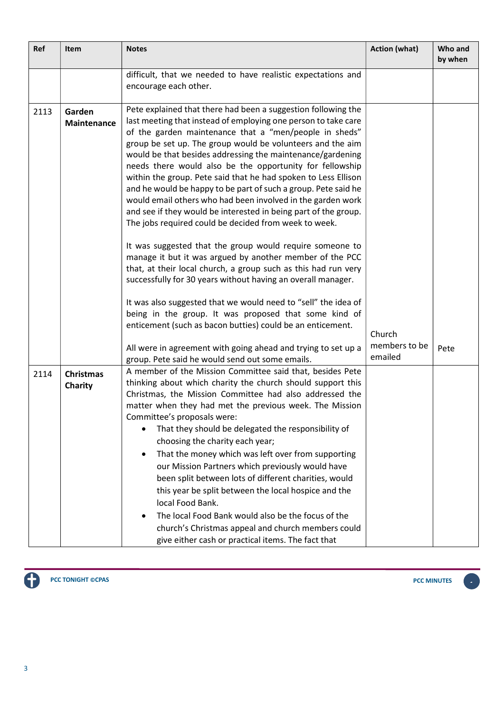| Ref  | Item                         | <b>Notes</b>                                                                                                                                                                                                                                                                                                                                                                                                                                                                                                                                                                                                                                                                                                                                                                                                                                                                                                                                                                                                                                                                                                                                                        | <b>Action (what)</b>     | Who and<br>by when |
|------|------------------------------|---------------------------------------------------------------------------------------------------------------------------------------------------------------------------------------------------------------------------------------------------------------------------------------------------------------------------------------------------------------------------------------------------------------------------------------------------------------------------------------------------------------------------------------------------------------------------------------------------------------------------------------------------------------------------------------------------------------------------------------------------------------------------------------------------------------------------------------------------------------------------------------------------------------------------------------------------------------------------------------------------------------------------------------------------------------------------------------------------------------------------------------------------------------------|--------------------------|--------------------|
|      |                              | difficult, that we needed to have realistic expectations and<br>encourage each other.                                                                                                                                                                                                                                                                                                                                                                                                                                                                                                                                                                                                                                                                                                                                                                                                                                                                                                                                                                                                                                                                               |                          |                    |
| 2113 | Garden<br><b>Maintenance</b> | Pete explained that there had been a suggestion following the<br>last meeting that instead of employing one person to take care<br>of the garden maintenance that a "men/people in sheds"<br>group be set up. The group would be volunteers and the aim<br>would be that besides addressing the maintenance/gardening<br>needs there would also be the opportunity for fellowship<br>within the group. Pete said that he had spoken to Less Ellison<br>and he would be happy to be part of such a group. Pete said he<br>would email others who had been involved in the garden work<br>and see if they would be interested in being part of the group.<br>The jobs required could be decided from week to week.<br>It was suggested that the group would require someone to<br>manage it but it was argued by another member of the PCC<br>that, at their local church, a group such as this had run very<br>successfully for 30 years without having an overall manager.<br>It was also suggested that we would need to "sell" the idea of<br>being in the group. It was proposed that some kind of<br>enticement (such as bacon butties) could be an enticement. | Church                   |                    |
|      |                              | All were in agreement with going ahead and trying to set up a<br>group. Pete said he would send out some emails.                                                                                                                                                                                                                                                                                                                                                                                                                                                                                                                                                                                                                                                                                                                                                                                                                                                                                                                                                                                                                                                    | members to be<br>emailed | Pete               |
| 2114 | <b>Christmas</b><br>Charity  | A member of the Mission Committee said that, besides Pete<br>thinking about which charity the church should support this<br>Christmas, the Mission Committee had also addressed the<br>matter when they had met the previous week. The Mission<br>Committee's proposals were:<br>That they should be delegated the responsibility of<br>٠<br>choosing the charity each year;<br>That the money which was left over from supporting<br>$\bullet$<br>our Mission Partners which previously would have<br>been split between lots of different charities, would<br>this year be split between the local hospice and the<br>local Food Bank.<br>The local Food Bank would also be the focus of the<br>٠<br>church's Christmas appeal and church members could<br>give either cash or practical items. The fact that                                                                                                                                                                                                                                                                                                                                                     |                          |                    |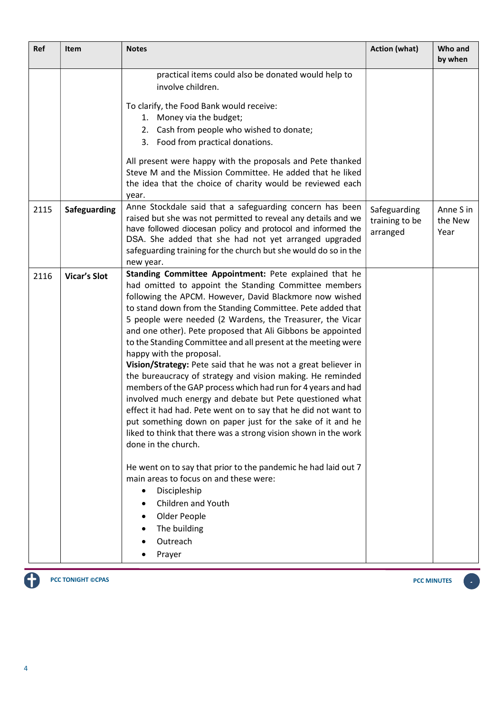| Ref  | Item                | <b>Notes</b>                                                                                                                                                                                                                                                                                                                                                                                                                                                                                                                                                                                                                                                                                                                                                                                                                                                                                                                                                                                                                                                                                                                                                                 | <b>Action (what)</b>                       | Who and<br>by when           |
|------|---------------------|------------------------------------------------------------------------------------------------------------------------------------------------------------------------------------------------------------------------------------------------------------------------------------------------------------------------------------------------------------------------------------------------------------------------------------------------------------------------------------------------------------------------------------------------------------------------------------------------------------------------------------------------------------------------------------------------------------------------------------------------------------------------------------------------------------------------------------------------------------------------------------------------------------------------------------------------------------------------------------------------------------------------------------------------------------------------------------------------------------------------------------------------------------------------------|--------------------------------------------|------------------------------|
|      |                     | practical items could also be donated would help to<br>involve children.                                                                                                                                                                                                                                                                                                                                                                                                                                                                                                                                                                                                                                                                                                                                                                                                                                                                                                                                                                                                                                                                                                     |                                            |                              |
|      |                     | To clarify, the Food Bank would receive:<br>1. Money via the budget;                                                                                                                                                                                                                                                                                                                                                                                                                                                                                                                                                                                                                                                                                                                                                                                                                                                                                                                                                                                                                                                                                                         |                                            |                              |
|      |                     | 2. Cash from people who wished to donate;<br>3. Food from practical donations.                                                                                                                                                                                                                                                                                                                                                                                                                                                                                                                                                                                                                                                                                                                                                                                                                                                                                                                                                                                                                                                                                               |                                            |                              |
|      |                     | All present were happy with the proposals and Pete thanked<br>Steve M and the Mission Committee. He added that he liked<br>the idea that the choice of charity would be reviewed each<br>year.                                                                                                                                                                                                                                                                                                                                                                                                                                                                                                                                                                                                                                                                                                                                                                                                                                                                                                                                                                               |                                            |                              |
| 2115 | <b>Safeguarding</b> | Anne Stockdale said that a safeguarding concern has been<br>raised but she was not permitted to reveal any details and we<br>have followed diocesan policy and protocol and informed the<br>DSA. She added that she had not yet arranged upgraded<br>safeguarding training for the church but she would do so in the<br>new year.                                                                                                                                                                                                                                                                                                                                                                                                                                                                                                                                                                                                                                                                                                                                                                                                                                            | Safeguarding<br>training to be<br>arranged | Anne S in<br>the New<br>Year |
| 2116 | <b>Vicar's Slot</b> | Standing Committee Appointment: Pete explained that he<br>had omitted to appoint the Standing Committee members<br>following the APCM. However, David Blackmore now wished<br>to stand down from the Standing Committee. Pete added that<br>5 people were needed (2 Wardens, the Treasurer, the Vicar<br>and one other). Pete proposed that Ali Gibbons be appointed<br>to the Standing Committee and all present at the meeting were<br>happy with the proposal.<br>Vision/Strategy: Pete said that he was not a great believer in<br>the bureaucracy of strategy and vision making. He reminded<br>members of the GAP process which had run for 4 years and had<br>involved much energy and debate but Pete questioned what<br>effect it had had. Pete went on to say that he did not want to<br>put something down on paper just for the sake of it and he<br>liked to think that there was a strong vision shown in the work<br>done in the church.<br>He went on to say that prior to the pandemic he had laid out 7<br>main areas to focus on and these were:<br>Discipleship<br>$\bullet$<br>Children and Youth<br>Older People<br>The building<br>Outreach<br>Prayer |                                            |                              |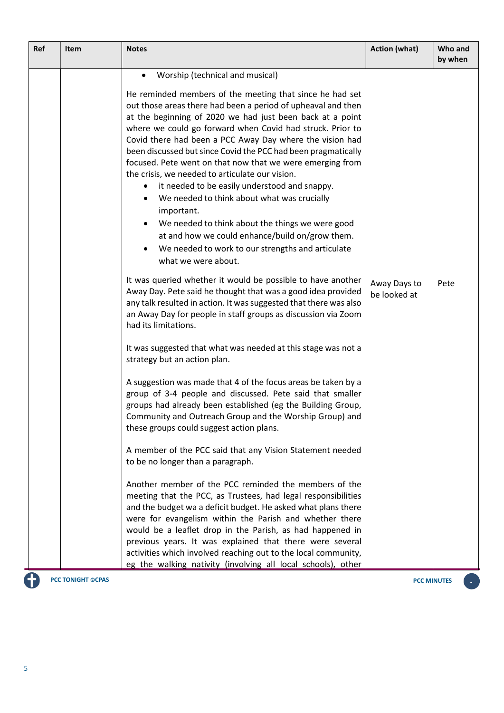| Worship (technical and musical)<br>$\bullet$<br>He reminded members of the meeting that since he had set<br>out those areas there had been a period of upheaval and then<br>at the beginning of 2020 we had just been back at a point<br>where we could go forward when Covid had struck. Prior to<br>Covid there had been a PCC Away Day where the vision had<br>been discussed but since Covid the PCC had been pragmatically<br>focused. Pete went on that now that we were emerging from<br>the crisis, we needed to articulate our vision.<br>it needed to be easily understood and snappy.<br>We needed to think about what was crucially<br>important.<br>We needed to think about the things we were good<br>at and how we could enhance/build on/grow them.<br>We needed to work to our strengths and articulate<br>what we were about.<br>It was queried whether it would be possible to have another<br>Away Days to<br>Pete<br>Away Day. Pete said he thought that was a good idea provided<br>be looked at<br>any talk resulted in action. It was suggested that there was also<br>an Away Day for people in staff groups as discussion via Zoom<br>had its limitations.<br>It was suggested that what was needed at this stage was not a<br>strategy but an action plan.<br>A suggestion was made that 4 of the focus areas be taken by a<br>group of 3-4 people and discussed. Pete said that smaller<br>groups had already been established (eg the Building Group,<br>Community and Outreach Group and the Worship Group) and<br>these groups could suggest action plans.<br>A member of the PCC said that any Vision Statement needed<br>to be no longer than a paragraph.<br>Another member of the PCC reminded the members of the<br>meeting that the PCC, as Trustees, had legal responsibilities<br>and the budget wa a deficit budget. He asked what plans there<br>were for evangelism within the Parish and whether there<br>would be a leaflet drop in the Parish, as had happened in<br>previous years. It was explained that there were several |
|-----------------------------------------------------------------------------------------------------------------------------------------------------------------------------------------------------------------------------------------------------------------------------------------------------------------------------------------------------------------------------------------------------------------------------------------------------------------------------------------------------------------------------------------------------------------------------------------------------------------------------------------------------------------------------------------------------------------------------------------------------------------------------------------------------------------------------------------------------------------------------------------------------------------------------------------------------------------------------------------------------------------------------------------------------------------------------------------------------------------------------------------------------------------------------------------------------------------------------------------------------------------------------------------------------------------------------------------------------------------------------------------------------------------------------------------------------------------------------------------------------------------------------------------------------------------------------------------------------------------------------------------------------------------------------------------------------------------------------------------------------------------------------------------------------------------------------------------------------------------------------------------------------------------------------------------------------------------------------------------------------------------------------------------------------------------------------|
|                                                                                                                                                                                                                                                                                                                                                                                                                                                                                                                                                                                                                                                                                                                                                                                                                                                                                                                                                                                                                                                                                                                                                                                                                                                                                                                                                                                                                                                                                                                                                                                                                                                                                                                                                                                                                                                                                                                                                                                                                                                                             |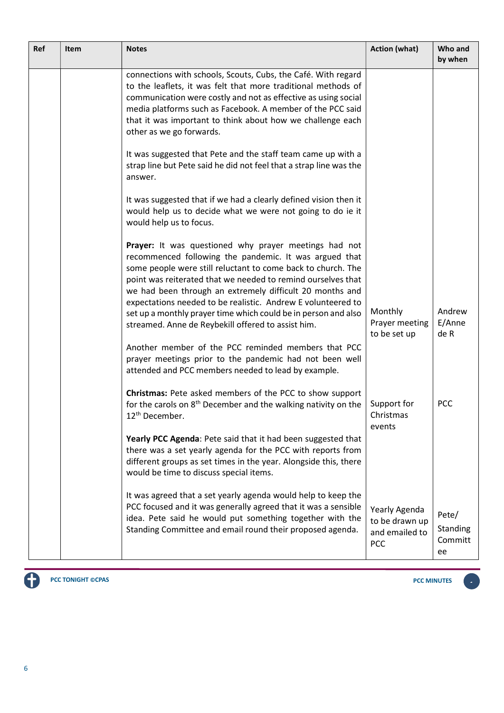| <b>Ref</b> | <b>Item</b> | <b>Notes</b>                                                                                                                                                                                                                                                                                                                                                                | <b>Action (what)</b>                                     | Who and<br>by when                 |
|------------|-------------|-----------------------------------------------------------------------------------------------------------------------------------------------------------------------------------------------------------------------------------------------------------------------------------------------------------------------------------------------------------------------------|----------------------------------------------------------|------------------------------------|
|            |             | connections with schools, Scouts, Cubs, the Café. With regard<br>to the leaflets, it was felt that more traditional methods of<br>communication were costly and not as effective as using social<br>media platforms such as Facebook. A member of the PCC said<br>that it was important to think about how we challenge each<br>other as we go forwards.                    |                                                          |                                    |
|            |             | It was suggested that Pete and the staff team came up with a<br>strap line but Pete said he did not feel that a strap line was the<br>answer.                                                                                                                                                                                                                               |                                                          |                                    |
|            |             | It was suggested that if we had a clearly defined vision then it<br>would help us to decide what we were not going to do ie it<br>would help us to focus.                                                                                                                                                                                                                   |                                                          |                                    |
|            |             | Prayer: It was questioned why prayer meetings had not<br>recommenced following the pandemic. It was argued that<br>some people were still reluctant to come back to church. The<br>point was reiterated that we needed to remind ourselves that<br>we had been through an extremely difficult 20 months and<br>expectations needed to be realistic. Andrew E volunteered to |                                                          |                                    |
|            |             | set up a monthly prayer time which could be in person and also<br>streamed. Anne de Reybekill offered to assist him.                                                                                                                                                                                                                                                        | Monthly<br>Prayer meeting<br>to be set up                | Andrew<br>E/Anne<br>de R           |
|            |             | Another member of the PCC reminded members that PCC<br>prayer meetings prior to the pandemic had not been well<br>attended and PCC members needed to lead by example.                                                                                                                                                                                                       |                                                          |                                    |
|            |             | Christmas: Pete asked members of the PCC to show support<br>for the carols on 8 <sup>th</sup> December and the walking nativity on the<br>12 <sup>th</sup> December.                                                                                                                                                                                                        | Support for<br>Christmas<br>events                       | <b>PCC</b>                         |
|            |             | Yearly PCC Agenda: Pete said that it had been suggested that<br>there was a set yearly agenda for the PCC with reports from<br>different groups as set times in the year. Alongside this, there<br>would be time to discuss special items.                                                                                                                                  |                                                          |                                    |
|            |             | It was agreed that a set yearly agenda would help to keep the<br>PCC focused and it was generally agreed that it was a sensible<br>idea. Pete said he would put something together with the<br>Standing Committee and email round their proposed agenda.                                                                                                                    | Yearly Agenda<br>to be drawn up<br>and emailed to<br>PCC | Pete/<br>Standing<br>Committ<br>ee |